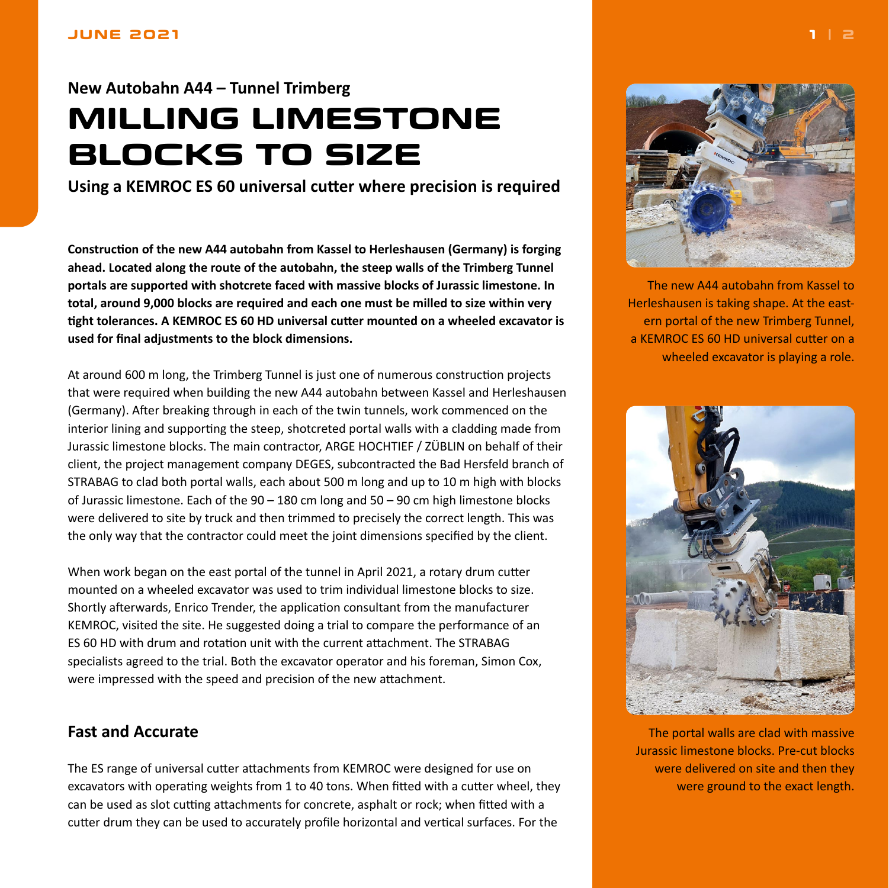## <span id="page-0-0"></span>**New Autobahn A44 – Tunnel Trimberg MILLING LIMESTONE BLOCKS TO SIZE**

**Using a KEMROC ES 60 universal cutter where precision is required**

**Construction of the new A44 autobahn from Kassel to Herleshausen (Germany) is forging ahead. Located along the route of the autobahn, the steep walls of the Trimberg Tunnel portals are supported with shotcrete faced with massive blocks of Jurassic limestone. In total, around 9,000 blocks are required and each one must be milled to size within very tight tolerances. A KEMROC ES 60 HD universal cutter mounted on a wheeled excavator is used for final adjustments to the block dimensions.**

At around 600 m long, the Trimberg Tunnel is just one of numerous construction projects that were required when building the new A44 autobahn between Kassel and Herleshausen (Germany). After breaking through in each of the twin tunnels, work commenced on the interior lining and supporting the steep, shotcreted portal walls with a cladding made from Jurassic limestone blocks. The main contractor, ARGE HOCHTIEF / ZÜBLIN on behalf of their client, the project management company DEGES, subcontracted the Bad Hersfeld branch of STRABAG to clad both portal walls, each about 500 m long and up to 10 m high with blocks of Jurassic limestone. Each of the 90 – 180 cm long and 50 – 90 cm high limestone blocks were delivered to site by truck and then trimmed to precisely the correct length. This was the only way that the contractor could meet the joint dimensions specified by the client.

When work began on the east portal of the tunnel in April 2021, a rotary drum cutter mounted on a wheeled excavator was used to trim individual limestone blocks to size. Shortly afterwards, Enrico Trender, the application consultant from the manufacturer KEMROC, visited the site. He suggested doing a trial to compare the performance of an ES 60 HD with drum and rotation unit with the current attachment. The STRABAG specialists agreed to the trial. Both the excavator operator and his foreman, Simon Cox, were impressed with the speed and precision of the new attachment.

## **Fast and Accurate**

The ES range of universal cutter attachments from KEMROC were designed for use on excavators with operating weights from 1 to 40 tons. When fitted with a cutter wheel, they can be used as slot cutting attachments for concrete, asphalt or rock; when fitted with a cutter drum they can be used to accurately profile horizontal and vertical surfaces. For the



The new A44 autobahn from Kassel to Herleshausen is taking shape. At the eastern portal of the new Trimberg Tunnel, a KEMROC ES 60 HD universal cutter on a wheeled excavator is playing a role.



The portal walls are clad with massive Jurassic limestone blocks. Pre-cut blocks were delivered on site and then they were ground to the exact length.